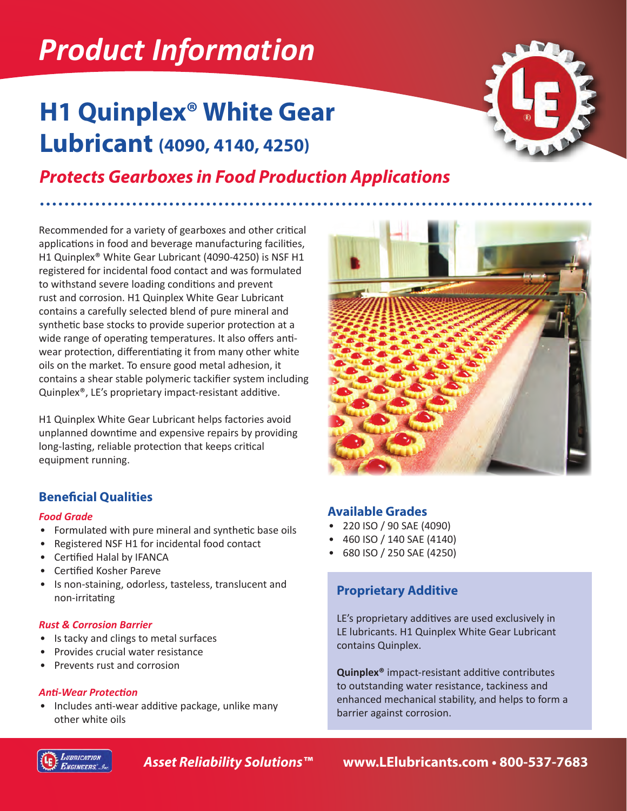# *Product Information*

### **H1 Quinplex® White Gear Lubricant (4090, 4140, 4250)**



### *Protects Gearboxes in Food Production Applications*

Recommended for a variety of gearboxes and other critical applications in food and beverage manufacturing facilities, H1 Quinplex® White Gear Lubricant (4090-4250) is NSF H1 registered for incidental food contact and was formulated to withstand severe loading conditions and prevent rust and corrosion. H1 Quinplex White Gear Lubricant contains a carefully selected blend of pure mineral and synthetic base stocks to provide superior protection at a wide range of operating temperatures. It also offers antiwear protection, differentiating it from many other white oils on the market. To ensure good metal adhesion, it contains a shear stable polymeric tackifier system including Quinplex®, LE's proprietary impact-resistant additive.

H1 Quinplex White Gear Lubricant helps factories avoid unplanned downtime and expensive repairs by providing long-lasting, reliable protection that keeps critical equipment running.

#### **Beneficial Qualities**

#### *Food Grade*

- Formulated with pure mineral and synthetic base oils
- Registered NSF H1 for incidental food contact
- Certified Halal by IFANCA
- Certified Kosher Pareve
- Is non-staining, odorless, tasteless, translucent and non-irritating

#### *Rust & Corrosion Barrier*

- Is tacky and clings to metal surfaces
- Provides crucial water resistance
- Prevents rust and corrosion

#### *Anti-Wear Protection*

• Includes anti-wear additive package, unlike many other white oils



#### **Available Grades**

- 220 ISO / 90 SAE (4090)
- 460 ISO / 140 SAE (4140)
- 680 ISO / 250 SAE (4250)

#### **Proprietary Additive**

LE's proprietary additives are used exclusively in LE lubricants. H1 Quinplex White Gear Lubricant contains Quinplex.

**Quinplex®** impact-resistant additive contributes to outstanding water resistance, tackiness and enhanced mechanical stability, and helps to form a barrier against corrosion.



*Asset Reliability Solutions™* **www.LElubricants.com • 800-537-7683**